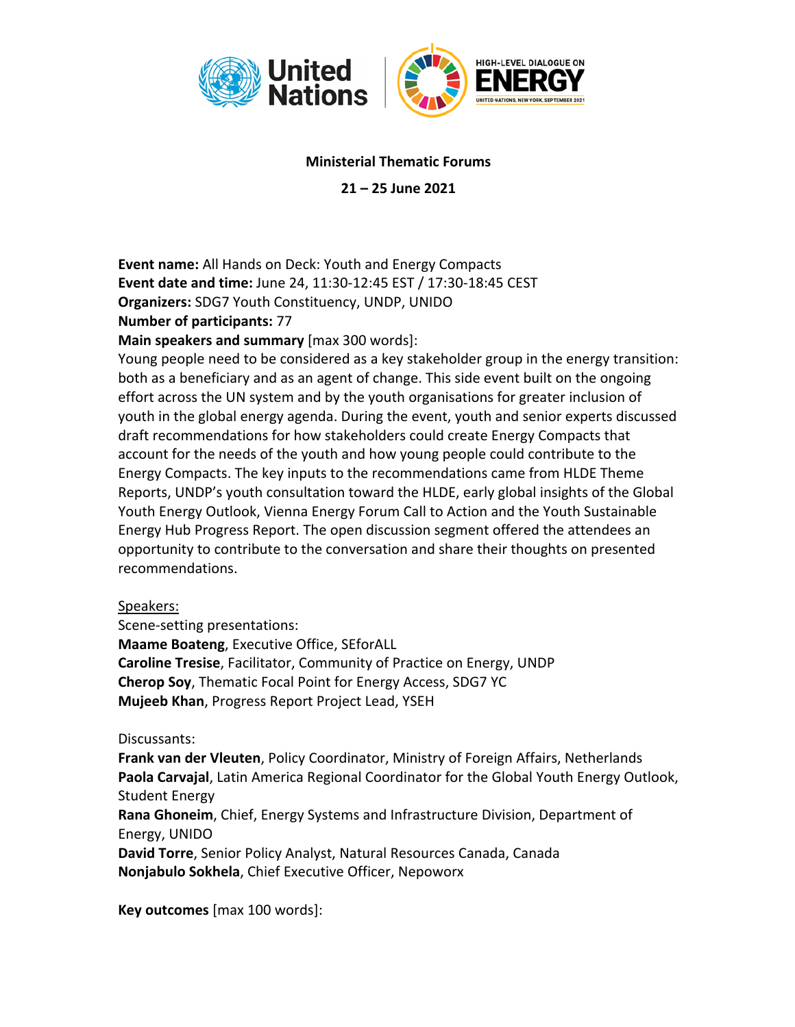

## **Ministerial Thematic Forums**

**21 – 25 June 2021**

**Event name:** All Hands on Deck: Youth and Energy Compacts **Event date and time:** June 24, 11:30-12:45 EST / 17:30-18:45 CEST **Organizers:** SDG7 Youth Constituency, UNDP, UNIDO **Number of participants:** 77

**Main speakers and summary** [max 300 words]:

Young people need to be considered as a key stakeholder group in the energy transition: both as a beneficiary and as an agent of change. This side event built on the ongoing effort across the UN system and by the youth organisations for greater inclusion of youth in the global energy agenda. During the event, youth and senior experts discussed draft recommendations for how stakeholders could create Energy Compacts that account for the needs of the youth and how young people could contribute to the Energy Compacts. The key inputs to the recommendations came from HLDE Theme Reports, UNDP's youth consultation toward the HLDE, early global insights of the Global Youth Energy Outlook, Vienna Energy Forum Call to Action and the Youth Sustainable Energy Hub Progress Report. The open discussion segment offered the attendees an opportunity to contribute to the conversation and share their thoughts on presented recommendations.

## Speakers:

Scene-setting presentations: **Maame Boateng**, Executive Office, SEforALL **Caroline Tresise**, Facilitator, Community of Practice on Energy, UNDP **Cherop Soy**, Thematic Focal Point for Energy Access, SDG7 YC **Mujeeb Khan**, Progress Report Project Lead, YSEH

## Discussants:

**Frank van der Vleuten**, Policy Coordinator, Ministry of Foreign Affairs, Netherlands **Paola Carvajal**, Latin America Regional Coordinator for the Global Youth Energy Outlook, Student Energy

**Rana Ghoneim**, Chief, Energy Systems and Infrastructure Division, Department of Energy, UNIDO

**David Torre**, Senior Policy Analyst, Natural Resources Canada, Canada **Nonjabulo Sokhela**, Chief Executive Officer, Nepoworx

**Key outcomes** [max 100 words]: